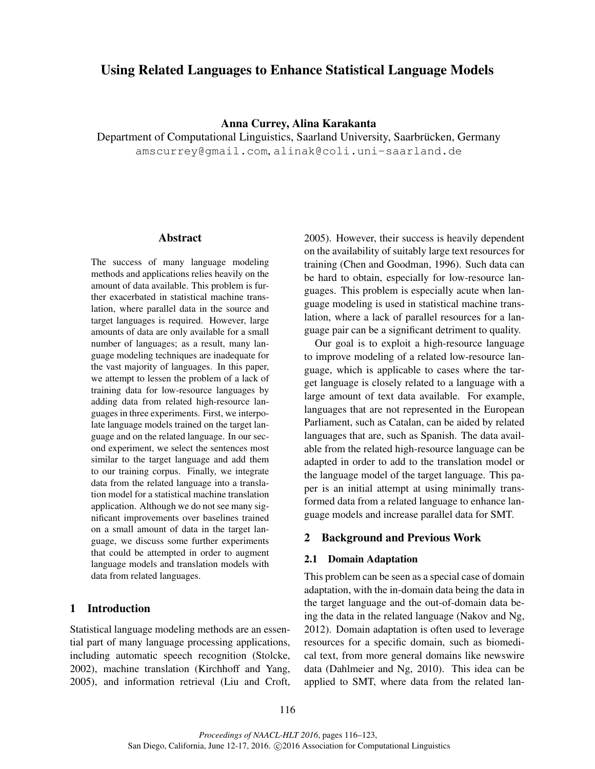# Using Related Languages to Enhance Statistical Language Models

## Anna Currey, Alina Karakanta

Department of Computational Linguistics, Saarland University, Saarbrücken, Germany amscurrey@gmail.com, alinak@coli.uni-saarland.de

#### Abstract

The success of many language modeling methods and applications relies heavily on the amount of data available. This problem is further exacerbated in statistical machine translation, where parallel data in the source and target languages is required. However, large amounts of data are only available for a small number of languages; as a result, many language modeling techniques are inadequate for the vast majority of languages. In this paper, we attempt to lessen the problem of a lack of training data for low-resource languages by adding data from related high-resource languages in three experiments. First, we interpolate language models trained on the target language and on the related language. In our second experiment, we select the sentences most similar to the target language and add them to our training corpus. Finally, we integrate data from the related language into a translation model for a statistical machine translation application. Although we do not see many significant improvements over baselines trained on a small amount of data in the target language, we discuss some further experiments that could be attempted in order to augment language models and translation models with data from related languages.

## 1 Introduction

Statistical language modeling methods are an essential part of many language processing applications, including automatic speech recognition (Stolcke, 2002), machine translation (Kirchhoff and Yang, 2005), and information retrieval (Liu and Croft,

2005). However, their success is heavily dependent on the availability of suitably large text resources for training (Chen and Goodman, 1996). Such data can be hard to obtain, especially for low-resource languages. This problem is especially acute when language modeling is used in statistical machine translation, where a lack of parallel resources for a language pair can be a significant detriment to quality.

Our goal is to exploit a high-resource language to improve modeling of a related low-resource language, which is applicable to cases where the target language is closely related to a language with a large amount of text data available. For example, languages that are not represented in the European Parliament, such as Catalan, can be aided by related languages that are, such as Spanish. The data available from the related high-resource language can be adapted in order to add to the translation model or the language model of the target language. This paper is an initial attempt at using minimally transformed data from a related language to enhance language models and increase parallel data for SMT.

## 2 Background and Previous Work

### 2.1 Domain Adaptation

This problem can be seen as a special case of domain adaptation, with the in-domain data being the data in the target language and the out-of-domain data being the data in the related language (Nakov and Ng, 2012). Domain adaptation is often used to leverage resources for a specific domain, such as biomedical text, from more general domains like newswire data (Dahlmeier and Ng, 2010). This idea can be applied to SMT, where data from the related lan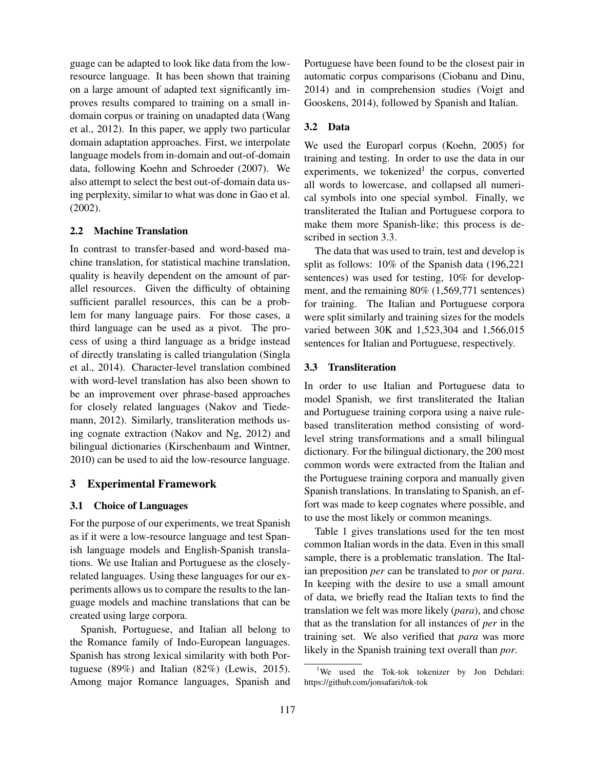guage can be adapted to look like data from the lowresource language. It has been shown that training on a large amount of adapted text significantly improves results compared to training on a small indomain corpus or training on unadapted data (Wang et al., 2012). In this paper, we apply two particular domain adaptation approaches. First, we interpolate language models from in-domain and out-of-domain data, following Koehn and Schroeder (2007). We also attempt to select the best out-of-domain data using perplexity, similar to what was done in Gao et al. (2002).

#### 2.2 Machine Translation

In contrast to transfer-based and word-based machine translation, for statistical machine translation, quality is heavily dependent on the amount of parallel resources. Given the difficulty of obtaining sufficient parallel resources, this can be a problem for many language pairs. For those cases, a third language can be used as a pivot. The process of using a third language as a bridge instead of directly translating is called triangulation (Singla et al., 2014). Character-level translation combined with word-level translation has also been shown to be an improvement over phrase-based approaches for closely related languages (Nakov and Tiedemann, 2012). Similarly, transliteration methods using cognate extraction (Nakov and Ng, 2012) and bilingual dictionaries (Kirschenbaum and Wintner, 2010) can be used to aid the low-resource language.

## 3 Experimental Framework

#### 3.1 Choice of Languages

For the purpose of our experiments, we treat Spanish as if it were a low-resource language and test Spanish language models and English-Spanish translations. We use Italian and Portuguese as the closelyrelated languages. Using these languages for our experiments allows us to compare the results to the language models and machine translations that can be created using large corpora.

Spanish, Portuguese, and Italian all belong to the Romance family of Indo-European languages. Spanish has strong lexical similarity with both Portuguese (89%) and Italian (82%) (Lewis, 2015). Among major Romance languages, Spanish and Portuguese have been found to be the closest pair in automatic corpus comparisons (Ciobanu and Dinu, 2014) and in comprehension studies (Voigt and Gooskens, 2014), followed by Spanish and Italian.

### 3.2 Data

We used the Europarl corpus (Koehn, 2005) for training and testing. In order to use the data in our experiments, we tokenized<sup>1</sup> the corpus, converted all words to lowercase, and collapsed all numerical symbols into one special symbol. Finally, we transliterated the Italian and Portuguese corpora to make them more Spanish-like; this process is described in section 3.3.

The data that was used to train, test and develop is split as follows: 10% of the Spanish data (196,221 sentences) was used for testing, 10% for development, and the remaining 80% (1,569,771 sentences) for training. The Italian and Portuguese corpora were split similarly and training sizes for the models varied between 30K and 1,523,304 and 1,566,015 sentences for Italian and Portuguese, respectively.

#### 3.3 Transliteration

In order to use Italian and Portuguese data to model Spanish, we first transliterated the Italian and Portuguese training corpora using a naive rulebased transliteration method consisting of wordlevel string transformations and a small bilingual dictionary. For the bilingual dictionary, the 200 most common words were extracted from the Italian and the Portuguese training corpora and manually given Spanish translations. In translating to Spanish, an effort was made to keep cognates where possible, and to use the most likely or common meanings.

Table 1 gives translations used for the ten most common Italian words in the data. Even in this small sample, there is a problematic translation. The Italian preposition *per* can be translated to *por* or *para*. In keeping with the desire to use a small amount of data, we briefly read the Italian texts to find the translation we felt was more likely (*para*), and chose that as the translation for all instances of *per* in the training set. We also verified that *para* was more likely in the Spanish training text overall than *por*.

<sup>&</sup>lt;sup>1</sup>We used the Tok-tok tokenizer by Jon Dehdari: https://github.com/jonsafari/tok-tok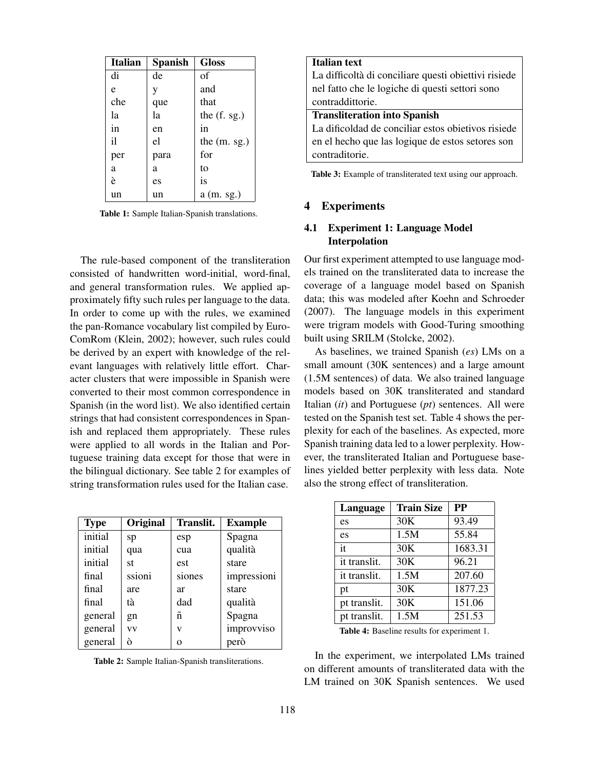| Italian | <b>Spanish</b> | <b>Gloss</b>   |
|---------|----------------|----------------|
| di      | de             | of             |
| e       | V              | and            |
| che     | que            | that           |
| la      | la             | the $(f. sg.)$ |
| in      | en             | in             |
| il      | el             | the $(m. sg.)$ |
| per     | para           | for            |
| a       | a              | to             |
| è       | es             | is             |
| un      | un             | $a$ (m. sg.)   |

Table 1: Sample Italian-Spanish translations.

The rule-based component of the transliteration consisted of handwritten word-initial, word-final, and general transformation rules. We applied approximately fifty such rules per language to the data. In order to come up with the rules, we examined the pan-Romance vocabulary list compiled by Euro-ComRom (Klein, 2002); however, such rules could be derived by an expert with knowledge of the relevant languages with relatively little effort. Character clusters that were impossible in Spanish were converted to their most common correspondence in Spanish (in the word list). We also identified certain strings that had consistent correspondences in Spanish and replaced them appropriately. These rules were applied to all words in the Italian and Portuguese training data except for those that were in the bilingual dictionary. See table 2 for examples of string transformation rules used for the Italian case.

| <b>Type</b> | Original  | Translit. | <b>Example</b> |
|-------------|-----------|-----------|----------------|
| initial     | sp        | esp       | Spagna         |
| initial     | qua       | cua       | qualità        |
| initial     | st        | est       | stare          |
| final       | ssioni    | siones    | impressioni    |
| final       | are       | ar        | stare          |
| final       | tà        | dad       | qualità        |
| general     | gn        | ñ         | Spagna         |
| general     | <b>VV</b> | v         | improvviso     |
| general     |           |           | però           |

| Table 2: Sample Italian-Spanish transliterations. |  |
|---------------------------------------------------|--|
|---------------------------------------------------|--|

| <b>Italian</b> text                                  |  |  |  |
|------------------------------------------------------|--|--|--|
| La difficoltà di conciliare questi obiettivi risiede |  |  |  |
| nel fatto che le logiche di questi settori sono      |  |  |  |
| contraddittorie.                                     |  |  |  |
| <b>Transliteration into Spanish</b>                  |  |  |  |
| La dificoldad de conciliar estos obietivos risiede   |  |  |  |
| en el hecho que las logique de estos setores son     |  |  |  |
| contraditorie.                                       |  |  |  |

Table 3: Example of transliterated text using our approach.

## 4 Experiments

## 4.1 Experiment 1: Language Model Interpolation

Our first experiment attempted to use language models trained on the transliterated data to increase the coverage of a language model based on Spanish data; this was modeled after Koehn and Schroeder (2007). The language models in this experiment were trigram models with Good-Turing smoothing built using SRILM (Stolcke, 2002).

As baselines, we trained Spanish (*es*) LMs on a small amount (30K sentences) and a large amount (1.5M sentences) of data. We also trained language models based on 30K transliterated and standard Italian (*it*) and Portuguese (*pt*) sentences. All were tested on the Spanish test set. Table 4 shows the perplexity for each of the baselines. As expected, more Spanish training data led to a lower perplexity. However, the transliterated Italian and Portuguese baselines yielded better perplexity with less data. Note also the strong effect of transliteration.

| Language                                                                                                                          | <b>Train Size</b> | <b>PP</b> |  |  |
|-----------------------------------------------------------------------------------------------------------------------------------|-------------------|-----------|--|--|
| es                                                                                                                                | 30K               | 93.49     |  |  |
| es                                                                                                                                | 1.5M              | 55.84     |  |  |
| it                                                                                                                                | 30K               | 1683.31   |  |  |
| it translit.                                                                                                                      | 30K               | 96.21     |  |  |
| it translit.                                                                                                                      | 1.5M              | 207.60    |  |  |
| pt                                                                                                                                | 30K               | 1877.23   |  |  |
| pt translit.                                                                                                                      | 30K               | 151.06    |  |  |
| pt translit.                                                                                                                      | 1.5M              | 251.53    |  |  |
| $\mathbf{m}$ . Let $\mathbf{m}$ the $\mathbf{m}$ that $\mathbf{m}$ is the $\mathbf{m}$ th $\mathbf{m}$ is the set of $\mathbf{m}$ |                   |           |  |  |

Table 4: Baseline results for experiment 1.

In the experiment, we interpolated LMs trained on different amounts of transliterated data with the LM trained on 30K Spanish sentences. We used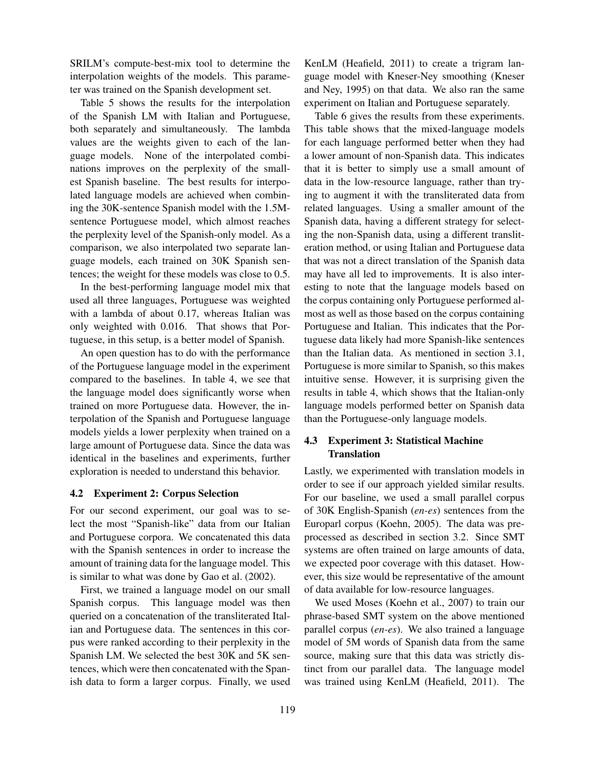SRILM's compute-best-mix tool to determine the interpolation weights of the models. This parameter was trained on the Spanish development set.

Table 5 shows the results for the interpolation of the Spanish LM with Italian and Portuguese, both separately and simultaneously. The lambda values are the weights given to each of the language models. None of the interpolated combinations improves on the perplexity of the smallest Spanish baseline. The best results for interpolated language models are achieved when combining the 30K-sentence Spanish model with the 1.5Msentence Portuguese model, which almost reaches the perplexity level of the Spanish-only model. As a comparison, we also interpolated two separate language models, each trained on 30K Spanish sentences; the weight for these models was close to 0.5.

In the best-performing language model mix that used all three languages, Portuguese was weighted with a lambda of about 0.17, whereas Italian was only weighted with 0.016. That shows that Portuguese, in this setup, is a better model of Spanish.

An open question has to do with the performance of the Portuguese language model in the experiment compared to the baselines. In table 4, we see that the language model does significantly worse when trained on more Portuguese data. However, the interpolation of the Spanish and Portuguese language models yields a lower perplexity when trained on a large amount of Portuguese data. Since the data was identical in the baselines and experiments, further exploration is needed to understand this behavior.

#### 4.2 Experiment 2: Corpus Selection

For our second experiment, our goal was to select the most "Spanish-like" data from our Italian and Portuguese corpora. We concatenated this data with the Spanish sentences in order to increase the amount of training data for the language model. This is similar to what was done by Gao et al. (2002).

First, we trained a language model on our small Spanish corpus. This language model was then queried on a concatenation of the transliterated Italian and Portuguese data. The sentences in this corpus were ranked according to their perplexity in the Spanish LM. We selected the best 30K and 5K sentences, which were then concatenated with the Spanish data to form a larger corpus. Finally, we used

KenLM (Heafield, 2011) to create a trigram language model with Kneser-Ney smoothing (Kneser and Ney, 1995) on that data. We also ran the same experiment on Italian and Portuguese separately.

Table 6 gives the results from these experiments. This table shows that the mixed-language models for each language performed better when they had a lower amount of non-Spanish data. This indicates that it is better to simply use a small amount of data in the low-resource language, rather than trying to augment it with the transliterated data from related languages. Using a smaller amount of the Spanish data, having a different strategy for selecting the non-Spanish data, using a different transliteration method, or using Italian and Portuguese data that was not a direct translation of the Spanish data may have all led to improvements. It is also interesting to note that the language models based on the corpus containing only Portuguese performed almost as well as those based on the corpus containing Portuguese and Italian. This indicates that the Portuguese data likely had more Spanish-like sentences than the Italian data. As mentioned in section 3.1, Portuguese is more similar to Spanish, so this makes intuitive sense. However, it is surprising given the results in table 4, which shows that the Italian-only language models performed better on Spanish data than the Portuguese-only language models.

## 4.3 Experiment 3: Statistical Machine **Translation**

Lastly, we experimented with translation models in order to see if our approach yielded similar results. For our baseline, we used a small parallel corpus of 30K English-Spanish (*en-es*) sentences from the Europarl corpus (Koehn, 2005). The data was preprocessed as described in section 3.2. Since SMT systems are often trained on large amounts of data, we expected poor coverage with this dataset. However, this size would be representative of the amount of data available for low-resource languages.

We used Moses (Koehn et al., 2007) to train our phrase-based SMT system on the above mentioned parallel corpus (*en-es*). We also trained a language model of 5M words of Spanish data from the same source, making sure that this data was strictly distinct from our parallel data. The language model was trained using KenLM (Heafield, 2011). The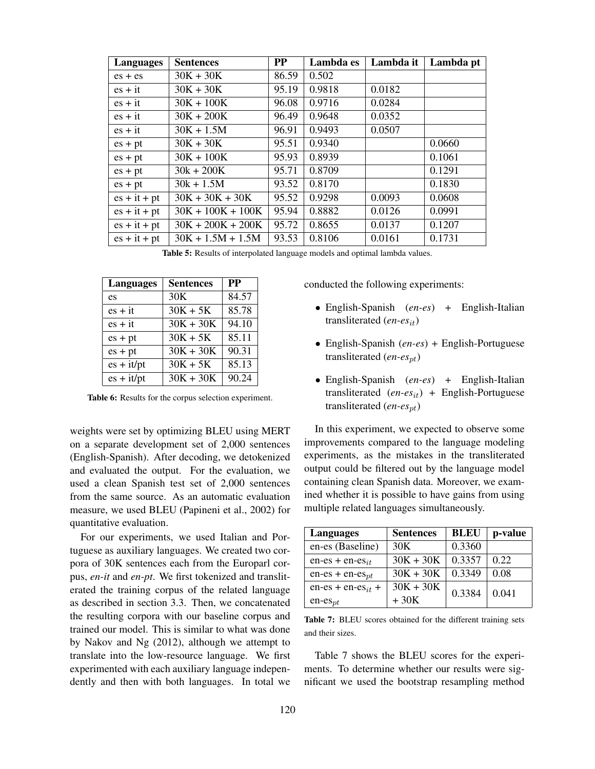| Languages      | <b>Sentences</b>    | PP    | Lambda es | Lambda it | Lambda pt |
|----------------|---------------------|-------|-----------|-----------|-----------|
| $es + es$      | $30K + 30K$         | 86.59 | 0.502     |           |           |
| $es + it$      | $30K + 30K$         | 95.19 | 0.9818    | 0.0182    |           |
| $es + it$      | $30K + 100K$        | 96.08 | 0.9716    | 0.0284    |           |
| $es + it$      | $30K + 200K$        | 96.49 | 0.9648    | 0.0352    |           |
| $es + it$      | $30K + 1.5M$        | 96.91 | 0.9493    | 0.0507    |           |
| $es + pt$      | $30K + 30K$         | 95.51 | 0.9340    |           | 0.0660    |
| $es + pt$      | $30K + 100K$        | 95.93 | 0.8939    |           | 0.1061    |
| $es + pt$      | $30k + 200K$        | 95.71 | 0.8709    |           | 0.1291    |
| $es + pt$      | $30k + 1.5M$        | 93.52 | 0.8170    |           | 0.1830    |
| $es + it + pt$ | $30K + 30K + 30K$   | 95.52 | 0.9298    | 0.0093    | 0.0608    |
| $es + it + pt$ | $30K + 100K + 100K$ | 95.94 | 0.8882    | 0.0126    | 0.0991    |
| $es + it + pt$ | $30K + 200K + 200K$ | 95.72 | 0.8655    | 0.0137    | 0.1207    |
| $es + it + pt$ | $30K + 1.5M + 1.5M$ | 93.53 | 0.8106    | 0.0161    | 0.1731    |

Table 5: Results of interpolated language models and optimal lambda values.

| <b>Languages</b> | <b>Sentences</b> | <b>PP</b> |
|------------------|------------------|-----------|
| es               | 30K              | 84.57     |
| $es + it$        | $30K + 5K$       | 85.78     |
| $es + it$        | $30K + 30K$      | 94.10     |
| $es + pt$        | $30K + 5K$       | 85.11     |
| $es + pt$        | $30K + 30K$      | 90.31     |
| $es + it/pt$     | $30K + 5K$       | 85.13     |
| $es + it/pt$     | $30K + 30K$      | 90.24     |

Table 6: Results for the corpus selection experiment.

weights were set by optimizing BLEU using MERT on a separate development set of 2,000 sentences (English-Spanish). After decoding, we detokenized and evaluated the output. For the evaluation, we used a clean Spanish test set of 2,000 sentences from the same source. As an automatic evaluation measure, we used BLEU (Papineni et al., 2002) for quantitative evaluation.

For our experiments, we used Italian and Portuguese as auxiliary languages. We created two corpora of 30K sentences each from the Europarl corpus, *en-it* and *en-pt*. We first tokenized and transliterated the training corpus of the related language as described in section 3.3. Then, we concatenated the resulting corpora with our baseline corpus and trained our model. This is similar to what was done by Nakov and Ng (2012), although we attempt to translate into the low-resource language. We first experimented with each auxiliary language independently and then with both languages. In total we

conducted the following experiments:

- English-Spanish (*en-es*) + English-Italian transliterated (*en-es*it)
- English-Spanish (*en-es*) + English-Portuguese transliterated (*en-es*pt)
- English-Spanish (*en-es*) + English-Italian transliterated (*en-es*it) + English-Portuguese transliterated (*en-es<sub>pt</sub>*)

In this experiment, we expected to observe some improvements compared to the language modeling experiments, as the mistakes in the transliterated output could be filtered out by the language model containing clean Spanish data. Moreover, we examined whether it is possible to have gains from using multiple related languages simultaneously.

| <b>Languages</b>       | <b>Sentences</b> | <b>BLEU</b> | p-value |
|------------------------|------------------|-------------|---------|
| en-es (Baseline)       | 30K              | 0.3360      |         |
| $en-es + en-es_{it}$   | $30K + 30K$      | 0.3357      | 0.22    |
| $en-es + en-espt$      | $30K + 30K$      | 0.3349      | 0.08    |
| $en-es + en-es_{it} +$ | $30K + 30K$      | 0.3384      | 0.041   |
| $en-es_{pt}$           | $+30K$           |             |         |

Table 7: BLEU scores obtained for the different training sets and their sizes.

Table 7 shows the BLEU scores for the experiments. To determine whether our results were significant we used the bootstrap resampling method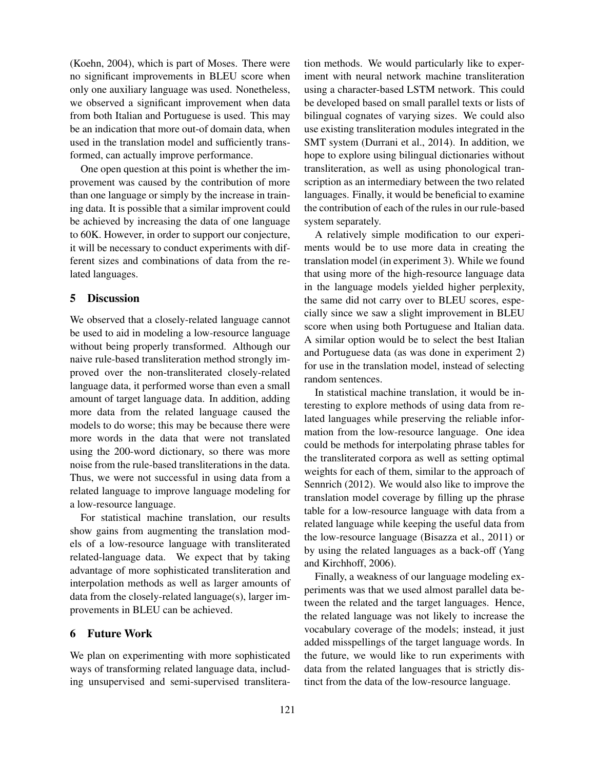(Koehn, 2004), which is part of Moses. There were no significant improvements in BLEU score when only one auxiliary language was used. Nonetheless, we observed a significant improvement when data from both Italian and Portuguese is used. This may be an indication that more out-of domain data, when used in the translation model and sufficiently transformed, can actually improve performance.

One open question at this point is whether the improvement was caused by the contribution of more than one language or simply by the increase in training data. It is possible that a similar improvent could be achieved by increasing the data of one language to 60K. However, in order to support our conjecture, it will be necessary to conduct experiments with different sizes and combinations of data from the related languages.

## 5 Discussion

We observed that a closely-related language cannot be used to aid in modeling a low-resource language without being properly transformed. Although our naive rule-based transliteration method strongly improved over the non-transliterated closely-related language data, it performed worse than even a small amount of target language data. In addition, adding more data from the related language caused the models to do worse; this may be because there were more words in the data that were not translated using the 200-word dictionary, so there was more noise from the rule-based transliterations in the data. Thus, we were not successful in using data from a related language to improve language modeling for a low-resource language.

For statistical machine translation, our results show gains from augmenting the translation models of a low-resource language with transliterated related-language data. We expect that by taking advantage of more sophisticated transliteration and interpolation methods as well as larger amounts of data from the closely-related language(s), larger improvements in BLEU can be achieved.

#### 6 Future Work

We plan on experimenting with more sophisticated ways of transforming related language data, including unsupervised and semi-supervised transliteration methods. We would particularly like to experiment with neural network machine transliteration using a character-based LSTM network. This could be developed based on small parallel texts or lists of bilingual cognates of varying sizes. We could also use existing transliteration modules integrated in the SMT system (Durrani et al., 2014). In addition, we hope to explore using bilingual dictionaries without transliteration, as well as using phonological transcription as an intermediary between the two related languages. Finally, it would be beneficial to examine the contribution of each of the rules in our rule-based system separately.

A relatively simple modification to our experiments would be to use more data in creating the translation model (in experiment 3). While we found that using more of the high-resource language data in the language models yielded higher perplexity, the same did not carry over to BLEU scores, especially since we saw a slight improvement in BLEU score when using both Portuguese and Italian data. A similar option would be to select the best Italian and Portuguese data (as was done in experiment 2) for use in the translation model, instead of selecting random sentences.

In statistical machine translation, it would be interesting to explore methods of using data from related languages while preserving the reliable information from the low-resource language. One idea could be methods for interpolating phrase tables for the transliterated corpora as well as setting optimal weights for each of them, similar to the approach of Sennrich (2012). We would also like to improve the translation model coverage by filling up the phrase table for a low-resource language with data from a related language while keeping the useful data from the low-resource language (Bisazza et al., 2011) or by using the related languages as a back-off (Yang and Kirchhoff, 2006).

Finally, a weakness of our language modeling experiments was that we used almost parallel data between the related and the target languages. Hence, the related language was not likely to increase the vocabulary coverage of the models; instead, it just added misspellings of the target language words. In the future, we would like to run experiments with data from the related languages that is strictly distinct from the data of the low-resource language.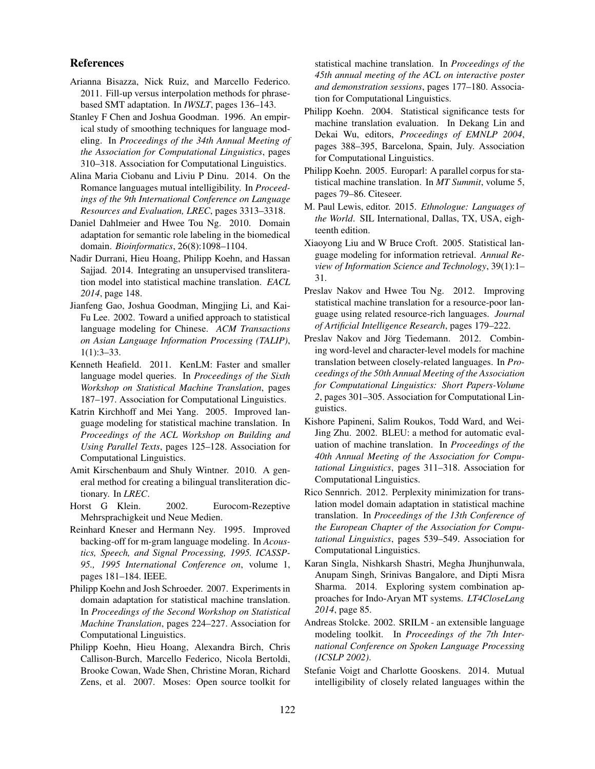### References

- Arianna Bisazza, Nick Ruiz, and Marcello Federico. 2011. Fill-up versus interpolation methods for phrasebased SMT adaptation. In *IWSLT*, pages 136–143.
- Stanley F Chen and Joshua Goodman. 1996. An empirical study of smoothing techniques for language modeling. In *Proceedings of the 34th Annual Meeting of the Association for Computational Linguistics*, pages 310–318. Association for Computational Linguistics.
- Alina Maria Ciobanu and Liviu P Dinu. 2014. On the Romance languages mutual intelligibility. In *Proceedings of the 9th International Conference on Language Resources and Evaluation, LREC*, pages 3313–3318.
- Daniel Dahlmeier and Hwee Tou Ng. 2010. Domain adaptation for semantic role labeling in the biomedical domain. *Bioinformatics*, 26(8):1098–1104.
- Nadir Durrani, Hieu Hoang, Philipp Koehn, and Hassan Sajjad. 2014. Integrating an unsupervised transliteration model into statistical machine translation. *EACL 2014*, page 148.
- Jianfeng Gao, Joshua Goodman, Mingjing Li, and Kai-Fu Lee. 2002. Toward a unified approach to statistical language modeling for Chinese. *ACM Transactions on Asian Language Information Processing (TALIP)*, 1(1):3–33.
- Kenneth Heafield. 2011. KenLM: Faster and smaller language model queries. In *Proceedings of the Sixth Workshop on Statistical Machine Translation*, pages 187–197. Association for Computational Linguistics.
- Katrin Kirchhoff and Mei Yang. 2005. Improved language modeling for statistical machine translation. In *Proceedings of the ACL Workshop on Building and Using Parallel Texts*, pages 125–128. Association for Computational Linguistics.
- Amit Kirschenbaum and Shuly Wintner. 2010. A general method for creating a bilingual transliteration dictionary. In *LREC*.
- Horst G Klein. 2002. Eurocom-Rezeptive Mehrsprachigkeit und Neue Medien.
- Reinhard Kneser and Hermann Ney. 1995. Improved backing-off for m-gram language modeling. In *Acoustics, Speech, and Signal Processing, 1995. ICASSP-95., 1995 International Conference on*, volume 1, pages 181–184. IEEE.
- Philipp Koehn and Josh Schroeder. 2007. Experiments in domain adaptation for statistical machine translation. In *Proceedings of the Second Workshop on Statistical Machine Translation*, pages 224–227. Association for Computational Linguistics.
- Philipp Koehn, Hieu Hoang, Alexandra Birch, Chris Callison-Burch, Marcello Federico, Nicola Bertoldi, Brooke Cowan, Wade Shen, Christine Moran, Richard Zens, et al. 2007. Moses: Open source toolkit for

statistical machine translation. In *Proceedings of the 45th annual meeting of the ACL on interactive poster and demonstration sessions*, pages 177–180. Association for Computational Linguistics.

- Philipp Koehn. 2004. Statistical significance tests for machine translation evaluation. In Dekang Lin and Dekai Wu, editors, *Proceedings of EMNLP 2004*, pages 388–395, Barcelona, Spain, July. Association for Computational Linguistics.
- Philipp Koehn. 2005. Europarl: A parallel corpus for statistical machine translation. In *MT Summit*, volume 5, pages 79–86. Citeseer.
- M. Paul Lewis, editor. 2015. *Ethnologue: Languages of the World*. SIL International, Dallas, TX, USA, eighteenth edition.
- Xiaoyong Liu and W Bruce Croft. 2005. Statistical language modeling for information retrieval. *Annual Review of Information Science and Technology*, 39(1):1– 31.
- Preslav Nakov and Hwee Tou Ng. 2012. Improving statistical machine translation for a resource-poor language using related resource-rich languages. *Journal of Artificial Intelligence Research*, pages 179–222.
- Preslav Nakov and Jörg Tiedemann. 2012. Combining word-level and character-level models for machine translation between closely-related languages. In *Proceedings of the 50th Annual Meeting of the Association for Computational Linguistics: Short Papers-Volume 2*, pages 301–305. Association for Computational Linguistics.
- Kishore Papineni, Salim Roukos, Todd Ward, and Wei-Jing Zhu. 2002. BLEU: a method for automatic evaluation of machine translation. In *Proceedings of the 40th Annual Meeting of the Association for Computational Linguistics*, pages 311–318. Association for Computational Linguistics.
- Rico Sennrich. 2012. Perplexity minimization for translation model domain adaptation in statistical machine translation. In *Proceedings of the 13th Conference of the European Chapter of the Association for Computational Linguistics*, pages 539–549. Association for Computational Linguistics.
- Karan Singla, Nishkarsh Shastri, Megha Jhunjhunwala, Anupam Singh, Srinivas Bangalore, and Dipti Misra Sharma. 2014. Exploring system combination approaches for Indo-Aryan MT systems. *LT4CloseLang 2014*, page 85.
- Andreas Stolcke. 2002. SRILM an extensible language modeling toolkit. In *Proceedings of the 7th International Conference on Spoken Language Processing (ICSLP 2002)*.
- Stefanie Voigt and Charlotte Gooskens. 2014. Mutual intelligibility of closely related languages within the